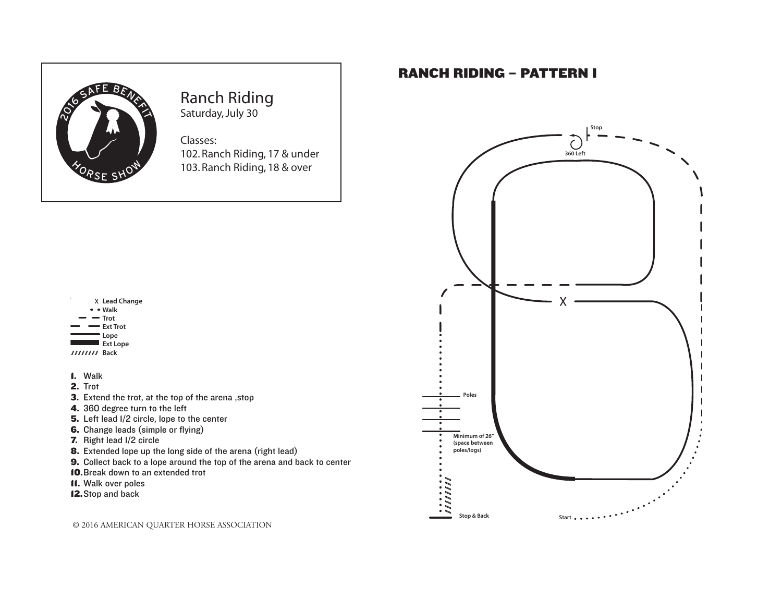

# Ranch Riding Saturday, July 30

### 103. Ranch Riding, 18 & over Classes: 102. Ranch Riding, 17 & under

**Back**



- 1. Walk
- 2. Trot
- 3. Extend the trot, at the top of the arena ,stop
- 4. 360 degree turn to the left
- 5. Left lead I/2 circle, lope to the center
- 6. Change leads (simple or flying)
- 7. Right lead 1/2 circle
- 8. Extended lope up the long side of the arena (right lead)
- 9. Collect back to a lope around the top of the arena and back to center
- 10.Break down to an extended trot
- 11. Walk over poles
- 12.Stop and back

© 2016 AMERICAN QUARTER HORSE ASSOCIATION 133

# RANCH RIDING – PATTERN I

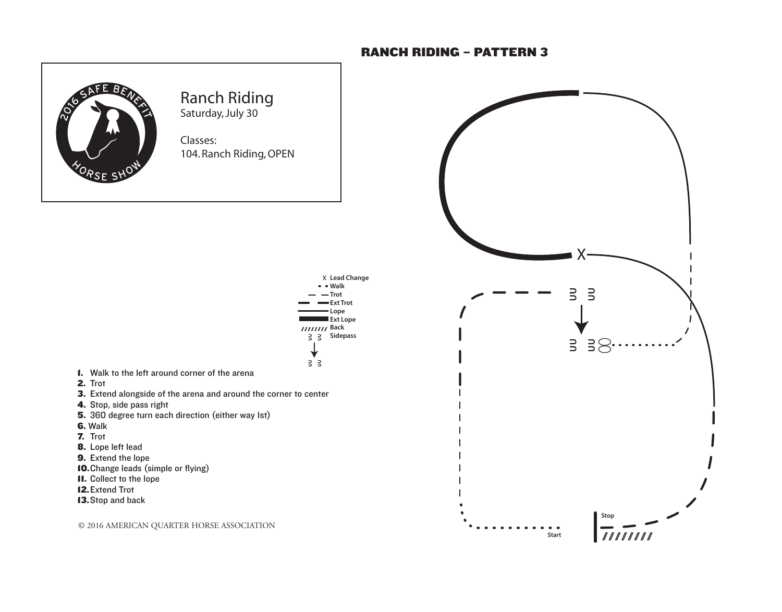#### RANCH RIDING – PATTERN 3